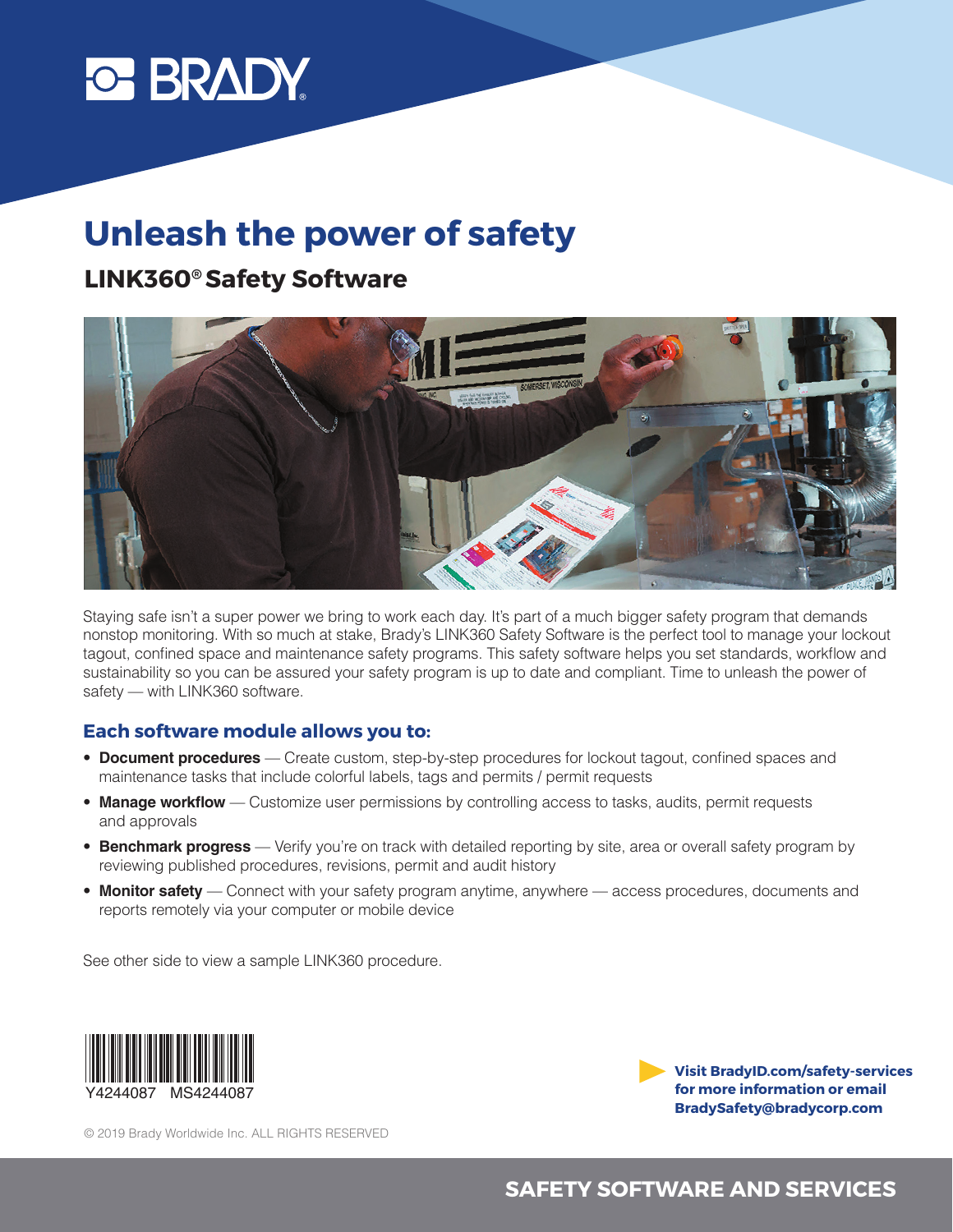# **C BRADY**

# **Unleash the power of safety**

# **LINK360® Safety Software**



Staying safe isn't a super power we bring to work each day. It's part of a much bigger safety program that demands nonstop monitoring. With so much at stake, Brady's LINK360 Safety Software is the perfect tool to manage your lockout tagout, confined space and maintenance safety programs. This safety software helps you set standards, workflow and sustainability so you can be assured your safety program is up to date and compliant. Time to unleash the power of safety — with LINK360 software.

#### **Each software module allows you to:**

- **Document procedures** Create custom, step-by-step procedures for lockout tagout, confined spaces and maintenance tasks that include colorful labels, tags and permits / permit requests
- **Manage workflow** Customize user permissions by controlling access to tasks, audits, permit requests and approvals
- **Benchmark progress** Verify you're on track with detailed reporting by site, area or overall safety program by reviewing published procedures, revisions, permit and audit history
- **Monitor safety** Connect with your safety program anytime, anywhere access procedures, documents and reports remotely via your computer or mobile device

See other side to view a sample LINK360 procedure.



**Visit BradyID.com/safety-services for more information or email BradySafety@bradycorp.com**

© 2019 Brady Worldwide Inc. ALL RIGHTS RESERVED

### **SAFETY SOFTWARE AND SERVICES**